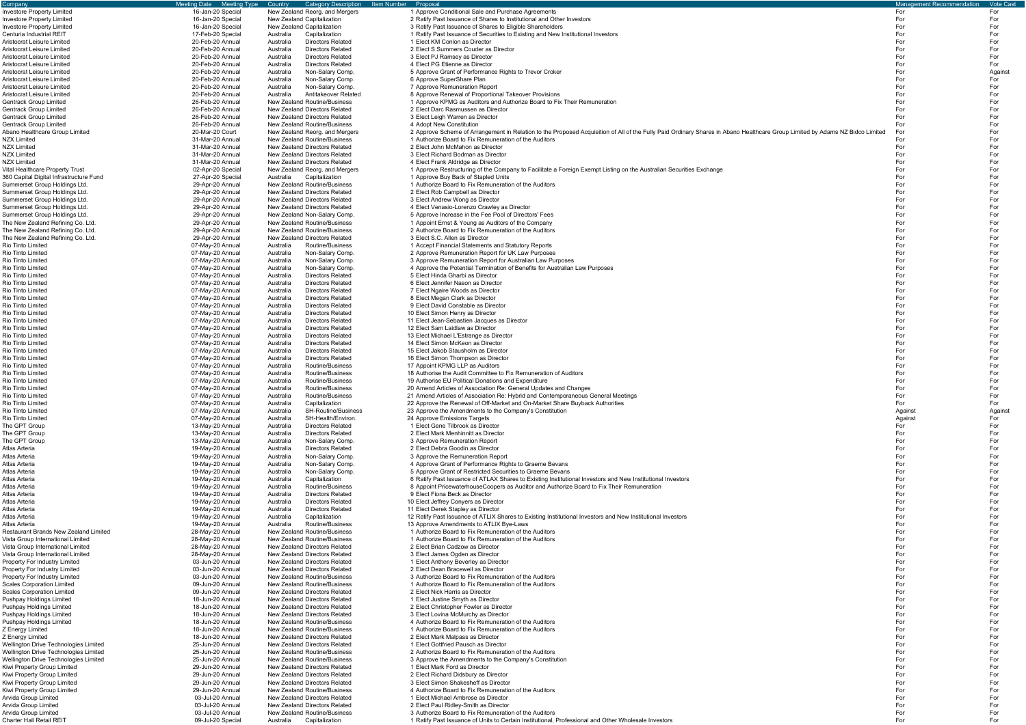| Company                                                                        | Meeting Type<br><b>Meeting Date</b>  | Category Description Item Number<br>Country                                    | Proposal                                                                                                                                                                                                                              | <b>Management Recommendation</b> | <b>Vote Cast</b> |
|--------------------------------------------------------------------------------|--------------------------------------|--------------------------------------------------------------------------------|---------------------------------------------------------------------------------------------------------------------------------------------------------------------------------------------------------------------------------------|----------------------------------|------------------|
| nvestore Property Limited                                                      | 16-Jan-20 Special                    | New Zealand Reorg. and Mergers                                                 | 1 Approve Conditional Sale and Purchase Agreements                                                                                                                                                                                    | For                              | For              |
| <b>Investore Property Limited</b>                                              | 16-Jan-20 Special                    | New Zealand Capitalization                                                     | 2 Ratify Past Issuance of Shares to Institutional and Other Investors                                                                                                                                                                 | For                              | For              |
| <b>Investore Property Limited</b>                                              | 16-Jan-20 Special                    | New Zealand Capitalization                                                     | 3 Ratify Past Issuance of Shares to Eligible Shareholders                                                                                                                                                                             | For                              | For              |
| Centuria Industrial REIT                                                       | 17-Feb-20 Special                    | Capitalization<br>Australia                                                    | 1 Ratify Past Issuance of Securities to Existing and New Institutional Investors                                                                                                                                                      | For                              | For              |
| Aristocrat Leisure Limited                                                     | 20-Feb-20 Annual                     | Australia<br><b>Directors Related</b>                                          | 1 Elect KM Conlon as Director                                                                                                                                                                                                         | For                              | For              |
| Aristocrat Leisure Limited                                                     | 20-Feb-20 Annual                     | Australia<br><b>Directors Related</b>                                          | 2 Elect S Summers Couder as Director                                                                                                                                                                                                  | For<br>For                       | For              |
| Aristocrat Leisure Limited<br>Aristocrat Leisure Limited                       | 20-Feb-20 Annual<br>20-Feb-20 Annual | Australia<br><b>Directors Related</b><br><b>Directors Related</b><br>Australia | 3 Elect PJ Ramsey as Director<br>4 Elect PG Etienne as Director                                                                                                                                                                       | For                              | For<br>For       |
| Aristocrat Leisure Limited                                                     | 20-Feb-20 Annual                     | Non-Salary Comp.<br>Australia                                                  | 5 Approve Grant of Performance Rights to Trevor Croker                                                                                                                                                                                | For                              | Against          |
| Aristocrat Leisure Limited                                                     | 20-Feb-20 Annual                     | Australia<br>Non-Salary Comp.                                                  | 6 Approve SuperShare Plan                                                                                                                                                                                                             | For                              | For              |
| Aristocrat Leisure Limited                                                     | 20-Feb-20 Annual                     | Non-Salary Comp.<br>Australia                                                  | 7 Approve Remuneration Report                                                                                                                                                                                                         | For                              | For              |
| Aristocrat Leisure Limited                                                     | 20-Feb-20 Annual                     | Australia<br>Antitakeover Related                                              | 8 Approve Renewal of Proportional Takeover Provisions                                                                                                                                                                                 | For                              | For              |
| Gentrack Group Limited                                                         | 26-Feb-20 Annual                     | <b>New Zealand Routine/Business</b>                                            | 1 Approve KPMG as Auditors and Authorize Board to Fix Their Remuneration                                                                                                                                                              | For                              | For              |
| Gentrack Group Limited                                                         | 26-Feb-20 Annual                     | New Zealand Directors Related                                                  | 2 Elect Darc Rasmussen as Director                                                                                                                                                                                                    | For                              | For              |
| <b>Gentrack Group Limited</b>                                                  | 26-Feb-20 Annual                     | <b>New Zealand Directors Related</b>                                           | 3 Elect Leigh Warren as Director                                                                                                                                                                                                      | For                              | For              |
| Gentrack Group Limited                                                         | 26-Feb-20 Annual                     | <b>New Zealand Routine/Business</b>                                            | 4 Adopt New Constitution                                                                                                                                                                                                              | For                              | For              |
| Abano Healthcare Group Limited                                                 | 20-Mar-20 Court<br>31-Mar-20 Annual  | New Zealand Reorg. and Mergers<br><b>New Zealand Routine/Business</b>          | 2 Approve Scheme of Arrangement in Relation to the Proposed Acquisition of All of the Fully Paid Ordinary Shares in Abano Healthcare Group Limited by Adams NZ Bidco Limited<br>1 Authorize Board to Fix Remuneration of the Auditors | For<br>For                       | For<br>For       |
| NZX Limited<br>NZX Limited                                                     | 31-Mar-20 Annual                     | New Zealand Directors Related                                                  | 2 Elect John McMahon as Director                                                                                                                                                                                                      | For                              | For              |
| NZX Limited                                                                    | 31-Mar-20 Annual                     | New Zealand Directors Related                                                  | 3 Elect Richard Bodman as Director                                                                                                                                                                                                    | For                              | For              |
| <b>NZX Limited</b>                                                             | 31-Mar-20 Annual                     | New Zealand Directors Related                                                  | 4 Elect Frank Aldridge as Director                                                                                                                                                                                                    | For                              | For              |
| Vital Healthcare Property Trust                                                | 02-Apr-20 Special                    | New Zealand Reorg. and Mergers                                                 | 1 Approve Restructuring of the Company to Facilitate a Foreign Exempt Listing on the Australian Securities Exchange                                                                                                                   | For                              | For              |
| 360 Capital Digital Infrastructure Fund                                        | 27-Apr-20 Special                    | Australia<br>Capitalization                                                    | 1 Approve Buy Back of Stapled Units                                                                                                                                                                                                   | For                              | For              |
| Summerset Group Holdings Ltd                                                   | 29-Apr-20 Annual                     | New Zealand Routine/Business                                                   | 1 Authorize Board to Fix Remuneration of the Auditors                                                                                                                                                                                 | For                              | For              |
| Summerset Group Holdings Ltd                                                   | 29-Apr-20 Annual                     | New Zealand Directors Related                                                  | 2 Elect Rob Campbell as Director                                                                                                                                                                                                      | For                              | For              |
| Summerset Group Holdings Ltd.                                                  | 29-Apr-20 Annual                     | New Zealand Directors Related                                                  | 3 Elect Andrew Wong as Director                                                                                                                                                                                                       | For                              | For              |
| Summerset Group Holdings Ltd                                                   | 29-Apr-20 Annual                     | New Zealand Directors Related                                                  | 4 Elect Venasio-Lorenzo Crawley as Director                                                                                                                                                                                           | For                              | For              |
| Summerset Group Holdings Ltd.<br>The New Zealand Refining Co. Ltd.             | 29-Apr-20 Annual<br>29-Apr-20 Annual | New Zealand Non-Salary Comp.<br><b>New Zealand Routine/Business</b>            | 5 Approve Increase in the Fee Pool of Directors' Fees<br>1 Appoint Ernst & Young as Auditors of the Company                                                                                                                           | For<br>For                       | For<br>For       |
| The New Zealand Refining Co. Ltd.                                              | 29-Apr-20 Annual                     | <b>New Zealand Routine/Business</b>                                            | 2 Authorize Board to Fix Remuneration of the Auditors                                                                                                                                                                                 | For                              | For              |
| The New Zealand Refining Co. Ltd.                                              | 29-Apr-20 Annual                     | <b>New Zealand Directors Related</b>                                           | 3 Elect S.C. Allen as Director                                                                                                                                                                                                        | For                              | For              |
| Rio Tinto Limited                                                              | 07-May-20 Annual                     | Australia<br>Routine/Business                                                  | 1 Accept Financial Statements and Statutory Reports                                                                                                                                                                                   | For                              | For              |
| Rio Tinto Limited                                                              | 07-May-20 Annual                     | Non-Salary Comp.<br>Australia                                                  | 2 Approve Remuneration Report for UK Law Purposes                                                                                                                                                                                     | For                              | For              |
| Rio Tinto Limited                                                              | 07-May-20 Annual                     | Australia<br>Non-Salary Comp.                                                  | 3 Approve Remuneration Report for Australian Law Purposes                                                                                                                                                                             | For                              | For              |
| Rio Tinto Limited                                                              | 07-May-20 Annual                     | Non-Salary Comp.<br>Australia                                                  | 4 Approve the Potential Termination of Benefits for Australian Law Purposes                                                                                                                                                           | For                              | For              |
| Rio Tinto Limited                                                              | 07-May-20 Annual                     | Australia<br><b>Directors Related</b>                                          | 5 Elect Hinda Gharbi as Director                                                                                                                                                                                                      | For                              | For              |
| Rio Tinto Limited                                                              | 07-May-20 Annual                     | <b>Directors Related</b><br>Australia                                          | 6 Elect Jennifer Nason as Director                                                                                                                                                                                                    | For                              | For              |
| Rio Tinto Limited                                                              | 07-May-20 Annual                     | <b>Directors Related</b><br>Australia                                          | 7 Elect Ngaire Woods as Director                                                                                                                                                                                                      | For                              | For              |
| Rio Tinto Limited                                                              | 07-May-20 Annual                     | <b>Directors Related</b><br>Australia                                          | 8 Elect Megan Clark as Director                                                                                                                                                                                                       | For<br>For                       | For              |
| Rio Tinto Limited<br>Rio Tinto Limited                                         | 07-May-20 Annual<br>07-May-20 Annual | <b>Directors Related</b><br>Australia<br><b>Directors Related</b><br>Australia | 9 Elect David Constable as Director<br>10 Elect Simon Henry as Director                                                                                                                                                               | For                              | For<br>For       |
| Rio Tinto Limited                                                              | 07-May-20 Annual                     | <b>Directors Related</b><br>Australia                                          | 11 Elect Jean-Sebastien Jacques as Director                                                                                                                                                                                           | For                              | For              |
| Rio Tinto Limited                                                              | 07-May-20 Annual                     | Australia<br><b>Directors Related</b>                                          | 12 Elect Sam Laidlaw as Director                                                                                                                                                                                                      | For                              | For              |
| Rio Tinto Limited                                                              | 07-May-20 Annual                     | Australia<br><b>Directors Related</b>                                          | 13 Elect Michael L'Estrange as Director                                                                                                                                                                                               | For                              | For              |
| Rio Tinto Limited                                                              | 07-May-20 Annual                     | Australia<br><b>Directors Related</b>                                          | 14 Elect Simon McKeon as Director                                                                                                                                                                                                     | For                              | For              |
| Rio Tinto Limited                                                              | 07-May-20 Annual                     | <b>Directors Related</b><br>Australia                                          | 15 Elect Jakob Stausholm as Director                                                                                                                                                                                                  | For                              | For              |
| Rio Tinto Limited                                                              | 07-May-20 Annual                     | <b>Directors Related</b><br>Australia                                          | 16 Elect Simon Thompson as Director                                                                                                                                                                                                   | For                              | For              |
| Rio Tinto Limited                                                              | 07-May-20 Annual                     | Australia<br>Routine/Business                                                  | 17 Appoint KPMG LLP as Auditors                                                                                                                                                                                                       | For                              | For              |
| Rio Tinto Limited                                                              | 07-May-20 Annual                     | Australia<br>Routine/Business                                                  | 18 Authorise the Audit Committee to Fix Remuneration of Auditors                                                                                                                                                                      | For<br>For                       | For<br>For       |
| Rio Tinto Limited<br>Rio Tinto Limited                                         | 07-May-20 Annual<br>07-May-20 Annual | Australia<br>Routine/Business<br>Australia<br>Routine/Business                 | 19 Authorise EU Political Donations and Expenditure<br>20 Amend Articles of Association Re: General Updates and Changes                                                                                                               | For                              | For              |
| Rio Tinto Limited                                                              | 07-May-20 Annual                     | Routine/Business<br>Australia                                                  | 21 Amend Articles of Association Re: Hybrid and Contemporaneous General Meetings                                                                                                                                                      | For                              | For              |
| Rio Tinto Limited                                                              | 07-May-20 Annual                     | Capitalization<br>Australia                                                    | 22 Approve the Renewal of Off-Market and On-Market Share Buyback Authorities                                                                                                                                                          | For                              | For              |
| Rio Tinto Limited                                                              | 07-May-20 Annual                     | <b>SH-Routine/Business</b><br>Australia                                        | 23 Approve the Amendments to the Company's Constitution                                                                                                                                                                               | Against                          | Against          |
| Rio Tinto Limited                                                              | 07-May-20 Annual                     | SH-Health/Environ<br>Australia                                                 | 24 Approve Emissions Targets                                                                                                                                                                                                          | Against                          | For              |
| The GPT Group                                                                  | 13-May-20 Annual                     | Australia<br><b>Directors Related</b>                                          | 1 Elect Gene Tilbrook as Director                                                                                                                                                                                                     | For                              | For              |
| The GPT Group                                                                  | 13-May-20 Annual                     | <b>Directors Related</b><br>Australia                                          | 2 Elect Mark Menhinnitt as Director                                                                                                                                                                                                   | For                              | For              |
| The GPT Group                                                                  | 13-May-20 Annual                     | Australia<br>Non-Salary Comp.                                                  | 3 Approve Remuneration Report                                                                                                                                                                                                         | For                              | For              |
| Atlas Arteria<br>Atlas Arteria                                                 | 19-May-20 Annual<br>19-May-20 Annual | <b>Directors Related</b><br>Australia<br>Non-Salary Comp.<br>Australia         | 2 Elect Debra Goodin as Director<br>3 Approve the Remuneration Report                                                                                                                                                                 | For<br>For                       | For<br>For       |
| Atlas Arteria                                                                  | 19-May-20 Annual                     | Non-Salary Comp.<br>Australia                                                  | 4 Approve Grant of Performance Rights to Graeme Bevans                                                                                                                                                                                | For                              | For              |
| Atlas Arteria                                                                  | 19-May-20 Annual                     | Australia<br>Non-Salary Comp.                                                  | 5 Approve Grant of Restricted Securities to Graeme Bevans                                                                                                                                                                             | For                              | For              |
| Atlas Arteria                                                                  | 19-May-20 Annual                     | Australia<br>Capitalization                                                    | 6 Ratify Past Issuance of ATLAX Shares to Existing Institutional Investors and New Institutional Investors                                                                                                                            | For                              | For              |
| Atlas Arteria                                                                  | 19-May-20 Annual                     | Australia<br>Routine/Business                                                  | 8 Appoint PricewaterhouseCoopers as Auditor and Authorize Board to Fix Their Remuneration                                                                                                                                             | For                              | For              |
| Atlas Arteria                                                                  | 19-May-20 Annual                     | <b>Directors Related</b><br>Australia                                          | 9 Elect Fiona Beck as Director                                                                                                                                                                                                        | For                              | For              |
| Atlas Arteria                                                                  | 19-May-20 Annual                     | Australia<br><b>Directors Related</b>                                          | 10 Elect Jeffrey Conyers as Director                                                                                                                                                                                                  | For                              | For              |
| Atlas Arteria                                                                  | 19-May-20 Annual                     | <b>Directors Related</b><br>Australia                                          | 11 Elect Derek Stapley as Director                                                                                                                                                                                                    | For                              | For              |
| Atlas Arteria<br>Atlas Arteria                                                 | 19-May-20 Annual<br>19-May-20 Annual | Australia<br>Capitalization<br>Australia<br><b>Routine/Business</b>            | 12 Ratify Past Issuance of ATLIX Shares to Existing Institutional Investors and New Institutional Investors<br>13 Approve Amendments to ATLIX Bye-Laws                                                                                | For<br>For                       | For<br>For       |
| Restaurant Brands New Zealand Limited                                          | 28-May-20 Annual                     | <b>New Zealand Routine/Business</b>                                            | 1 Authorize Board to Fix Remuneration of the Auditors                                                                                                                                                                                 | For                              | For              |
| Vista Group International Limited                                              | 28-May-20 Annual                     | <b>New Zealand Routine/Business</b>                                            | 1 Authorize Board to Fix Remuneration of the Auditors                                                                                                                                                                                 | For                              | For              |
| Vista Group International Limited                                              | 28-May-20 Annual                     | New Zealand Directors Related                                                  | 2 Elect Brian Cadzow as Director                                                                                                                                                                                                      | For                              | For              |
| Vista Group International Limited                                              | 28-May-20 Annual                     | New Zealand Directors Related                                                  | 3 Elect James Ogden as Director                                                                                                                                                                                                       | For                              | For              |
| Property For Industry Limited                                                  | 03-Jun-20 Annual                     | New Zealand Directors Related                                                  | 1 Elect Anthony Beverley as Director                                                                                                                                                                                                  | For                              | For              |
| Property For Industry Limited                                                  | 03-Jun-20 Annual                     | New Zealand Directors Related                                                  | 2 Elect Dean Bracewell as Director                                                                                                                                                                                                    | For                              | For              |
| Property For Industry Limited                                                  | 03-Jun-20 Annual                     | <b>New Zealand Routine/Business</b>                                            | 3 Authorize Board to Fix Remuneration of the Auditors                                                                                                                                                                                 | For<br>For                       | For              |
| Scales Corporation Limited<br>Scales Corporation Limited                       | 09-Jun-20 Annual<br>09-Jun-20 Annual | <b>New Zealand Routine/Business</b><br>New Zealand Directors Related           | 1 Authorize Board to Fix Remuneration of the Auditors<br>2 Elect Nick Harris as Director                                                                                                                                              | For                              | For<br>For       |
| Pushpay Holdings Limited                                                       | 18-Jun-20 Annual                     | New Zealand Directors Related                                                  | 1 Elect Justine Smyth as Director                                                                                                                                                                                                     | For                              | For              |
| Pushpay Holdings Limited                                                       | 18-Jun-20 Annual                     | <b>New Zealand Directors Related</b>                                           | 2 Elect Christopher Fowler as Director                                                                                                                                                                                                | For                              | For              |
| Pushpay Holdings Limited                                                       | 18-Jun-20 Annual                     | New Zealand Directors Related                                                  | 3 Elect Lovina McMurchy as Director                                                                                                                                                                                                   | For                              | For              |
| Pushpay Holdings Limited                                                       | 18-Jun-20 Annual                     | <b>New Zealand Routine/Business</b>                                            | 4 Authorize Board to Fix Remuneration of the Auditors                                                                                                                                                                                 | For                              | For              |
| Z Energy Limited                                                               | 18-Jun-20 Annual                     | <b>New Zealand Routine/Business</b>                                            | 1 Authorize Board to Fix Remuneration of the Auditors                                                                                                                                                                                 | For                              | For              |
| Z Energy Limited                                                               | 18-Jun-20 Annual                     | New Zealand Directors Related                                                  | 2 Elect Mark Malpass as Director                                                                                                                                                                                                      | For                              | For              |
| Wellington Drive Technologies Limited                                          | 25-Jun-20 Annual                     | New Zealand Directors Related                                                  | 1 Elect Gottfried Pausch as Director                                                                                                                                                                                                  | For                              | For              |
| Wellington Drive Technologies Limited<br>Wellington Drive Technologies Limited | 25-Jun-20 Annual<br>25-Jun-20 Annual | <b>New Zealand Routine/Business</b><br><b>New Zealand Routine/Business</b>     | 2 Authorize Board to Fix Remuneration of the Auditors<br>3 Approve the Amendments to the Company's Constitution                                                                                                                       | For<br>For                       | For<br>For       |
| Kiwi Property Group Limited                                                    | 29-Jun-20 Annual                     | New Zealand Directors Related                                                  | 1 Elect Mark Ford as Director                                                                                                                                                                                                         | For                              | For              |
| Kiwi Property Group Limited                                                    | 29-Jun-20 Annual                     | New Zealand Directors Related                                                  | 2 Elect Richard Didsbury as Director                                                                                                                                                                                                  | For                              | For              |
| Kiwi Property Group Limited                                                    | 29-Jun-20 Annual                     | New Zealand Directors Related                                                  | 3 Elect Simon Shakesheff as Director                                                                                                                                                                                                  | For                              | For              |
| Kiwi Property Group Limited                                                    | 29-Jun-20 Annual                     | <b>New Zealand Routine/Business</b>                                            | 4 Authorize Board to Fix Remuneration of the Auditors                                                                                                                                                                                 | For                              | For              |
| Arvida Group Limited                                                           | 03-Jul-20 Annual                     | New Zealand Directors Related                                                  | 1 Elect Michael Ambrose as Director                                                                                                                                                                                                   | For                              | For              |
| Arvida Group Limited                                                           | 03-Jul-20 Annual                     | New Zealand Directors Related                                                  | 2 Elect Paul Ridley-Smith as Director                                                                                                                                                                                                 | For                              | For              |
| Arvida Group Limited                                                           | 03-Jul-20 Annual                     | <b>New Zealand Routine/Business</b>                                            | 3 Authorize Board to Fix Remuneration of the Auditors                                                                                                                                                                                 | For                              | For              |
| Charter Hall Retail REIT                                                       | 09-Jul-20 Special                    | Australia<br>Capitalization                                                    | 1 Ratify Past Issuance of Units to Certain Institutional, Professional and Other Wholesale Investors                                                                                                                                  | For                              | For              |

| Management Recommendation | <u>Vo</u> te Cas |
|---------------------------|------------------|
| For                       | For              |
| For<br>For                | For              |
| For                       | For<br>For       |
| For                       | For              |
| For                       | For              |
| For                       | For              |
| For                       | For              |
| For                       | Against          |
| For                       | For              |
| For                       | For              |
| For                       | For              |
| For                       | For              |
| For                       | For              |
| For                       | For              |
| For<br>For                | For              |
| For                       | For<br>For       |
| For                       | For              |
| For                       | For              |
| For                       | For              |
| For                       | For              |
| For                       | For              |
| For                       | For              |
| For                       | For              |
| For                       | For              |
| For                       | For              |
| For                       | For              |
| For                       | For              |
| For                       | For              |
| For                       | For              |
| For                       | For              |
| For<br>For                | For<br>For       |
| For                       | For              |
| For                       | For              |
| For                       | For              |
| For                       | For              |
| For                       | For              |
| For                       | For              |
| For                       | For              |
| For                       | For              |
| For                       | For              |
| For                       | For              |
| For                       | For              |
| For                       | For              |
| For                       | For              |
| For<br>For                | For              |
| For                       | For<br>For       |
| For                       | For              |
| For                       | For              |
| For                       | For              |
| Against                   | Against          |
| Against                   | For              |
| For                       | For              |
| For                       | For              |
| For                       | For              |
| For                       | For              |
| For                       | For              |
| For                       | For              |
| For                       | For              |
| For<br>For                | For              |
| For                       | For<br>For       |
| For                       | For              |
| For                       | For              |
| For                       | For              |
| For                       | For              |
| For                       | For              |
| For                       | For              |
| For                       | For              |
| For                       | For              |
| For                       | For              |
| For                       | For              |
| For                       | For              |
| For                       | For              |
| For                       | For              |
| For<br>For                | For<br>For       |
| For                       | For              |
| For                       | For              |
| For                       | For              |
| For                       | For              |
| For                       | For              |
| For                       | For              |
| For                       | For              |
| For                       | For              |
| For                       | For              |
| For                       | For              |
| For                       | For              |
| For                       | For              |
| For<br>For                | For<br>For       |
| $E_{\alpha r}$            | $E_{\alpha r}$   |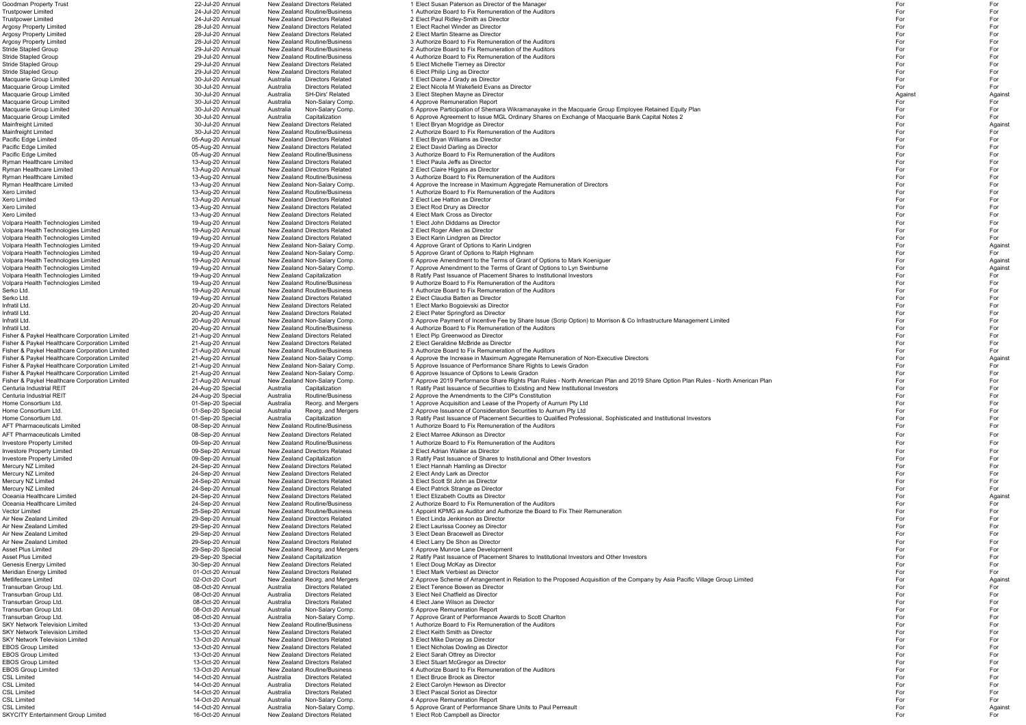| oodman Property TrustیGoodman                                                         | 22-Jul-20 Annua                      | New Zealand Directors Related                                 | 1 Elect Susan Paterson as Director of the Manade                                                                                | For        | For           |
|---------------------------------------------------------------------------------------|--------------------------------------|---------------------------------------------------------------|---------------------------------------------------------------------------------------------------------------------------------|------------|---------------|
| <b>Trustpower Limited</b>                                                             | 24-Jul-20 Annual                     | New Zealand Routine/Business                                  | 1 Authorize Board to Fix Remuneration of the Auditors                                                                           | For        | For           |
| <b>Trustpower Limited</b>                                                             | 24-Jul-20 Annual                     | New Zealand Directors Related                                 | 2 Elect Paul Ridley-Smith as Director                                                                                           | For        | For           |
| <b>Argosy Property Limited</b>                                                        | 28-Jul-20 Annual                     | New Zealand Directors Related                                 | 1 Elect Rachel Winder as Director                                                                                               | For        | For           |
| Argosy Property Limited                                                               | 28-Jul-20 Annual                     | New Zealand Directors Related                                 | 2 Elect Martin Stearne as Director                                                                                              | For        | For           |
| Argosy Property Limited                                                               | 28-Jul-20 Annual                     | New Zealand Routine/Business                                  | 3 Authorize Board to Fix Remuneration of the Auditors                                                                           | For        | For           |
| Stride Stapled Group                                                                  | 29-Jul-20 Annual                     | New Zealand Routine/Business                                  | 2 Authorize Board to Fix Remuneration of the Auditors                                                                           | For        | For           |
| Stride Stapled Group                                                                  | 29-Jul-20 Annual                     | New Zealand Routine/Business                                  | 4 Authorize Board to Fix Remuneration of the Auditors                                                                           | For        | For           |
| Stride Stapled Group                                                                  | 29-Jul-20 Annual                     | New Zealand Directors Related                                 | 5 Elect Michelle Tierney as Director                                                                                            | For        | For           |
| Stride Stapled Group                                                                  | 29-Jul-20 Annual                     | New Zealand Directors Related                                 | 6 Elect Philip Ling as Director                                                                                                 | For        | For           |
| Macquarie Group Limited                                                               | 30-Jul-20 Annual                     | <b>Directors Related</b><br>Australia                         | 1 Elect Diane J Grady as Director                                                                                               | For        | For           |
| Macquarie Group Limited                                                               | 30-Jul-20 Annual                     | <b>Directors Related</b><br>Australia                         | 2 Elect Nicola M Wakefield Evans as Director                                                                                    | For        | For           |
| Macquarie Group Limited                                                               | 30-Jul-20 Annual                     | SH-Dirs' Related<br>Australia                                 | 3 Elect Stephen Mayne as Director                                                                                               | Against    | Agains        |
| Macquarie Group Limited                                                               | 30-Jul-20 Annual                     | Non-Salary Comp<br>Australia                                  | 4 Approve Remuneration Report                                                                                                   | For        | For           |
| Macquarie Group Limited                                                               | 30-Jul-20 Annual                     | Non-Salary Comp<br>Australia                                  | 5 Approve Participation of Shemara Wikramanayake in the Macquarie Group Employee Retained Equity Plan                           | For        | For           |
| Macquarie Group Limited                                                               | 30-Jul-20 Annual                     | Capitalization<br>Australia                                   | 6 Approve Agreement to Issue MGL Ordinary Shares on Exchange of Macquarie Bank Capital Notes 2                                  | For        | For           |
| Mainfreight Limited                                                                   | 30-Jul-20 Annual                     | New Zealand Directors Related                                 | 1 Elect Bryan Mogridge as Director                                                                                              | For        | Again         |
| Mainfreight Limited                                                                   | 30-Jul-20 Annual                     | New Zealand Routine/Business                                  | 2 Authorize Board to Fix Remuneration of the Auditors                                                                           | For        | For           |
| Pacific Edge Limited                                                                  | 05-Aug-20 Annual                     | New Zealand Directors Related                                 | 1 Elect Bryan Williams as Director                                                                                              | For        | For           |
| Pacific Edge Limited                                                                  | 05-Aug-20 Annual                     | New Zealand Directors Related                                 | 2 Elect David Darling as Director                                                                                               | For        | For           |
| Pacific Edge Limited                                                                  | 05-Aug-20 Annual                     | New Zealand Routine/Business                                  | 3 Authorize Board to Fix Remuneration of the Auditors                                                                           | For        | For           |
| Ryman Healthcare Limited                                                              | 13-Aug-20 Annual                     | New Zealand Directors Related                                 | 1 Elect Paula Jeffs as Director                                                                                                 | For        | For           |
| Ryman Healthcare Limited                                                              | 13-Aug-20 Annual                     | New Zealand Directors Related                                 | 2 Elect Claire Higgins as Director                                                                                              | For        | For           |
| Ryman Healthcare Limited                                                              | 13-Aug-20 Annual                     | <b>New Zealand Routine/Business</b>                           | 3 Authorize Board to Fix Remuneration of the Auditors                                                                           | For        | For           |
| Ryman Healthcare Limited                                                              | 13-Aug-20 Annual                     | New Zealand Non-Salary Comp.                                  | 4 Approve the Increase in Maximum Aggregate Remuneration of Directors                                                           | For        | For           |
| Xero Limited                                                                          | 13-Aug-20 Annual                     | New Zealand Routine/Business                                  | 1 Authorize Board to Fix Remuneration of the Auditors                                                                           | For        | For           |
| Xero Limited                                                                          | 13-Aug-20 Annual                     | New Zealand Directors Related                                 | 2 Elect Lee Hatton as Director                                                                                                  | For        | For           |
|                                                                                       |                                      | New Zealand Directors Related                                 |                                                                                                                                 | For        |               |
| Xero Limited                                                                          | 13-Aug-20 Annual                     |                                                               | 3 Elect Rod Drury as Director                                                                                                   |            | For           |
| Xero Limited                                                                          | 13-Aug-20 Annual                     | New Zealand Directors Related                                 | 4 Elect Mark Cross as Director                                                                                                  | For        | For           |
| Volpara Health Technologies Limited                                                   | 19-Aug-20 Annual                     | New Zealand Directors Related                                 | 1 Elect John Diddams as Director                                                                                                | For        | For           |
| Volpara Health Technologies Limited                                                   | 19-Aug-20 Annual                     | New Zealand Directors Related                                 | 2 Elect Roger Allen as Director                                                                                                 | For        | For           |
| Volpara Health Technologies Limited                                                   | 19-Aug-20 Annual                     | New Zealand Directors Related                                 | 3 Elect Karin Lindgren as Director                                                                                              | For        | For           |
| Volpara Health Technologies Limited                                                   | 19-Aug-20 Annual                     | New Zealand Non-Salary Comp.                                  | 4 Approve Grant of Options to Karin Lindgren                                                                                    | For        | Agains        |
| Volpara Health Technologies Limited                                                   | 19-Aug-20 Annual                     | New Zealand Non-Salary Comp.                                  | 5 Approve Grant of Options to Ralph Highnam                                                                                     | For        | For           |
| Volpara Health Technologies Limited                                                   | 19-Aug-20 Annual                     | New Zealand Non-Salary Comp.                                  | 6 Approve Amendment to the Terms of Grant of Options to Mark Koeniguer                                                          | For        | Agains        |
| Volpara Health Technologies Limited                                                   | 19-Aug-20 Annual                     | New Zealand Non-Salary Comp.                                  | 7 Approve Amendment to the Terms of Grant of Options to Lyn Swinburne                                                           | For        | Agains        |
| Volpara Health Technologies Limited                                                   | 19-Aug-20 Annual                     | New Zealand Capitalization                                    | 8 Ratify Past Issuance of Placement Shares to Institutional Investors                                                           | For        | For           |
| Volpara Health Technologies Limited                                                   | 19-Aug-20 Annual                     | New Zealand Routine/Business                                  | 9 Authorize Board to Fix Remuneration of the Auditors                                                                           | For        | For           |
| Serko Ltd.                                                                            | 19-Aug-20 Annual                     | New Zealand Routine/Business                                  | 1 Authorize Board to Fix Remuneration of the Auditors                                                                           | For        | For           |
| Serko Ltd.                                                                            | 19-Aug-20 Annual                     | New Zealand Directors Related                                 | 2 Elect Claudia Batten as Director                                                                                              | For        | For           |
| Infratil Ltd.                                                                         | 20-Aug-20 Annual                     | New Zealand Directors Related                                 | 1 Elect Marko Bogoievski as Director                                                                                            | For        | For           |
| Infratil Ltd.                                                                         | 20-Aug-20 Annual                     | New Zealand Directors Related                                 | 2 Elect Peter Springford as Director                                                                                            | For        | For           |
| Infratil Ltd.                                                                         | 20-Aug-20 Annual                     | New Zealand Non-Salary Comp.                                  | 3 Approve Payment of Incentive Fee by Share Issue (Scrip Option) to Morrison & Co Infrastructure Management Limited             | For        | For           |
| Infratil Ltd.                                                                         | 20-Aug-20 Annual                     | New Zealand Routine/Business                                  | 4 Authorize Board to Fix Remuneration of the Auditors                                                                           | For        | For           |
| Fisher & Paykel Healthcare Corporation Limited                                        | 21-Aug-20 Annual                     | New Zealand Directors Related                                 | 1 Elect Pip Greenwood as Director                                                                                               | For        | For           |
| Fisher & Paykel Healthcare Corporation Limited                                        | 21-Aug-20 Annual                     | New Zealand Directors Related                                 | 2 Elect Geraldine McBride as Director                                                                                           | For        | For           |
| Fisher & Paykel Healthcare Corporation Limited                                        | 21-Aug-20 Annual                     | <b>New Zealand Routine/Business</b>                           | 3 Authorize Board to Fix Remuneration of the Auditors                                                                           | For        | For           |
| Fisher & Paykel Healthcare Corporation Limited                                        | 21-Aug-20 Annual                     | New Zealand Non-Salary Comp.                                  | 4 Approve the Increase in Maximum Aggregate Remuneration of Non-Executive Directors                                             | For        | Agains        |
| Fisher & Paykel Healthcare Corporation Limited                                        | 21-Aug-20 Annual                     | New Zealand Non-Salary Comp.                                  | 5 Approve Issuance of Performance Share Rights to Lewis Gradon                                                                  | For        | For           |
| Fisher & Paykel Healthcare Corporation Limited                                        | 21-Aug-20 Annual                     | New Zealand Non-Salary Comp.                                  | 6 Approve Issuance of Options to Lewis Gradon                                                                                   | For        | For           |
| Fisher & Paykel Healthcare Corporation Limited                                        | 21-Aug-20 Annual                     | New Zealand Non-Salary Comp.                                  | 7 Approve 2019 Performance Share Rights Plan Rules - North American Plan and 2019 Share Option Plan Rules - North American Plan | For        | For           |
| Centuria Industrial REIT                                                              | 24-Aug-20 Special                    | Australia Capitalization                                      | 1 Ratify Past Issuance of Securities to Existing and New Institutional Investors                                                | For        | For           |
| Centuria Industrial REIT                                                              | 24-Aug-20 Special                    | Routine/Business<br>Australia                                 | 2 Approve the Amendments to the CIP's Constitution                                                                              | For        | For           |
| Home Consortium Ltd.                                                                  | 01-Sep-20 Special                    | Reorg. and Mergers<br>Australia                               | 1 Approve Acquisition and Lease of the Property of Aurrum Pty Ltd                                                               | For        | For           |
| Home Consortium Ltd.                                                                  | 01-Sep-20 Special                    | Australia<br>Reorg. and Mergers                               | 2 Approve Issuance of Consideration Securities to Aurrum Pty Ltd                                                                | For        | For           |
|                                                                                       |                                      |                                                               | 3 Ratify Past Issuance of Placement Securities to Qualified Professional, Sophisticated and Institutional Investors             | For        | For           |
| Home Consortium Ltd.                                                                  | 01-Sep-20 Special                    | Capitalization<br>Australia                                   |                                                                                                                                 |            |               |
| <b>AFT Pharmaceuticals Limited</b>                                                    | 08-Sep-20 Annual                     | New Zealand Routine/Business                                  | 1 Authorize Board to Fix Remuneration of the Auditors                                                                           | For        | For           |
| <b>AFT Pharmaceuticals Limited</b>                                                    | 08-Sep-20 Annual                     | New Zealand Directors Related                                 | 2 Elect Marree Atkinson as Director                                                                                             | For        | For           |
| <b>Investore Property Limited</b>                                                     | 09-Sep-20 Annual                     | New Zealand Routine/Business                                  | 1 Authorize Board to Fix Remuneration of the Auditors                                                                           | For        | For           |
| <b>Investore Property Limited</b>                                                     | 09-Sep-20 Annual                     | New Zealand Directors Related                                 | 2 Elect Adrian Walker as Director                                                                                               | For        | For           |
| <b>Investore Property Limited</b>                                                     | 09-Sep-20 Annual                     | New Zealand Capitalization                                    | 3 Ratify Past Issuance of Shares to Institutional and Other Investors                                                           | For        | For           |
| Mercury NZ Limited                                                                    | 24-Sep-20 Annual                     | New Zealand Directors Related                                 | 1 Elect Hannah Hamling as Director                                                                                              | For        | For           |
| Mercury NZ Limited                                                                    | 24-Sep-20 Annual                     | New Zealand Directors Related                                 | 2 Elect Andy Lark as Director                                                                                                   | For        | For           |
| Mercury NZ Limited                                                                    | 24-Sep-20 Annual                     | New Zealand Directors Related                                 | 3 Elect Scott St John as Director                                                                                               | For        | For           |
| Mercury NZ Limited                                                                    | 24-Sep-20 Annual                     | New Zealand Directors Related                                 | 4 Elect Patrick Strange as Director                                                                                             | For        | For           |
| Oceania Healthcare Limited                                                            | 24-Sep-20 Annual                     | New Zealand Directors Related                                 | 1 Elect Elizabeth Coutts as Director                                                                                            | For        | Again         |
| Oceania Healthcare Limited                                                            | 24-Sep-20 Annual                     | New Zealand Routine/Business                                  | 2 Authorize Board to Fix Remuneration of the Auditors                                                                           | For        | For           |
| Vector Limited                                                                        | 25-Sep-20 Annual                     | New Zealand Routine/Business                                  | 1 Appoint KPMG as Auditor and Authorize the Board to Fix Their Remuneration                                                     | For        | For           |
| Air New Zealand Limited                                                               | 29-Sep-20 Annual                     | New Zealand Directors Related                                 | 1 Elect Linda Jenkinson as Director                                                                                             | For        | For           |
| Air New Zealand Limited                                                               | 29-Sep-20 Annual                     | New Zealand Directors Related                                 | 2 Elect Laurissa Cooney as Director                                                                                             | For        | For           |
| Air New Zealand Limited                                                               | 29-Sep-20 Annual                     | New Zealand Directors Related                                 | 3 Elect Dean Bracewell as Director                                                                                              | For        | For           |
| Air New Zealand Limited                                                               | 29-Sep-20 Annual                     | New Zealand Directors Related                                 | 4 Elect Larry De Shon as Director                                                                                               | For        | For           |
| Asset Plus Limited                                                                    | 29-Sep-20 Special                    | New Zealand Reorg. and Mergers                                | 1 Approve Munroe Lane Development                                                                                               | For        | For           |
| Asset Plus Limited                                                                    | 29-Sep-20 Special                    | New Zealand Capitalization                                    | 2 Ratify Past Issuance of Placement Shares to Institutional Investors and Other Investors                                       | For        | For           |
| Genesis Energy Limited                                                                | 30-Sep-20 Annual                     | New Zealand Directors Related                                 | 1 Elect Doug McKay as Director                                                                                                  | For        | For           |
| Meridian Energy Limited                                                               | 01-Oct-20 Annual                     | New Zealand Directors Related                                 | 1 Elect Mark Verbiest as Director                                                                                               | For        | For           |
| Metlifecare Limited                                                                   | 02-Oct-20 Court                      | New Zealand Reorg. and Mergers                                | 2 Approve Scheme of Arrangement in Relation to the Proposed Acquisition of the Company by Asia Pacific Village Group Limited    | For        | Agains        |
| Transurban Group Ltd.                                                                 | 08-Oct-20 Annual                     | <b>Directors Related</b><br>Australia                         | 2 Elect Terence Bowen as Director                                                                                               | For        | For           |
| Transurban Group Ltd.                                                                 | 08-Oct-20 Annual                     | <b>Directors Related</b><br>Australia                         | 3 Elect Neil Chatfield as Director                                                                                              | For        | For           |
| Transurban Group Ltd.                                                                 | 08-Oct-20 Annual                     | <b>Directors Related</b><br>Australia                         | 4 Elect Jane Wilson as Director                                                                                                 | For        | For           |
| Transurban Group Ltd.                                                                 | 08-Oct-20 Annual                     | Non-Salary Comp<br>Australia                                  | 5 Approve Remuneration Report                                                                                                   | For        | For           |
| Transurban Group Ltd.                                                                 | 08-Oct-20 Annual                     |                                                               |                                                                                                                                 | For        | For           |
|                                                                                       | 13-Oct-20 Annual                     | Non-Salary Comp<br>Australia                                  | 7 Approve Grant of Performance Awards to Scott Charlton                                                                         |            |               |
| SKY Network Television Limited                                                        |                                      | New Zealand Routine/Business                                  | 1 Authorize Board to Fix Remuneration of the Auditors                                                                           | For        | For           |
| SKY Network Television Limited                                                        | 13-Oct-20 Annual                     | New Zealand Directors Related                                 | 2 Elect Keith Smith as Director                                                                                                 | For        | For           |
| SKY Network Television Limited                                                        | 13-Oct-20 Annual                     | New Zealand Directors Related                                 | 3 Elect Mike Darcey as Director                                                                                                 | For        | For           |
| <b>EBOS Group Limited</b>                                                             | 13-Oct-20 Annual                     | New Zealand Directors Related                                 | 1 Elect Nicholas Dowling as Director                                                                                            | For        | For           |
| EBOS Group Limited                                                                    | 13-Oct-20 Annual                     | New Zealand Directors Related                                 | 2 Elect Sarah Ottrey as Director                                                                                                | For        | For           |
|                                                                                       |                                      |                                                               | 3 Elect Stuart McGregor as Director                                                                                             | For        | For           |
|                                                                                       | 13-Oct-20 Annual                     | New Zealand Directors Related                                 |                                                                                                                                 |            |               |
|                                                                                       | 13-Oct-20 Annual                     | New Zealand Routine/Business                                  | 4 Authorize Board to Fix Remuneration of the Auditors                                                                           | For        | For           |
|                                                                                       | 14-Oct-20 Annual                     | Australia<br><b>Directors Related</b>                         | 1 Elect Bruce Brook as Director                                                                                                 | For        | For           |
|                                                                                       | 14-Oct-20 Annual                     | <b>Directors Related</b><br>Australia                         | 2 Elect Carolyn Hewson as Director                                                                                              | For        | For           |
| EBOS Group Limited<br>EBOS Group Limited<br>CSL Limited<br>CSL Limited<br>CSL Limited | 14-Oct-20 Annual                     | <b>Directors Related</b><br>Australia                         | 3 Elect Pascal Soriot as Director                                                                                               | For        | For           |
| CSL Limited                                                                           | 14-Oct-20 Annual                     | Non-Salary Comp<br>Australia                                  | 4 Approve Remuneration Report                                                                                                   | For        | For           |
| CSL Limited<br><b>SKYCITY Entertainment Group Limited</b>                             | 14-Oct-20 Annual<br>16-Oct-20 Annual | Non-Salary Comp<br>Australia<br>New Zealand Directors Related | 5 Approve Grant of Performance Share Units to Paul Perreault<br>1 Elect Rob Campbell as Director                                | For<br>For | Agains<br>For |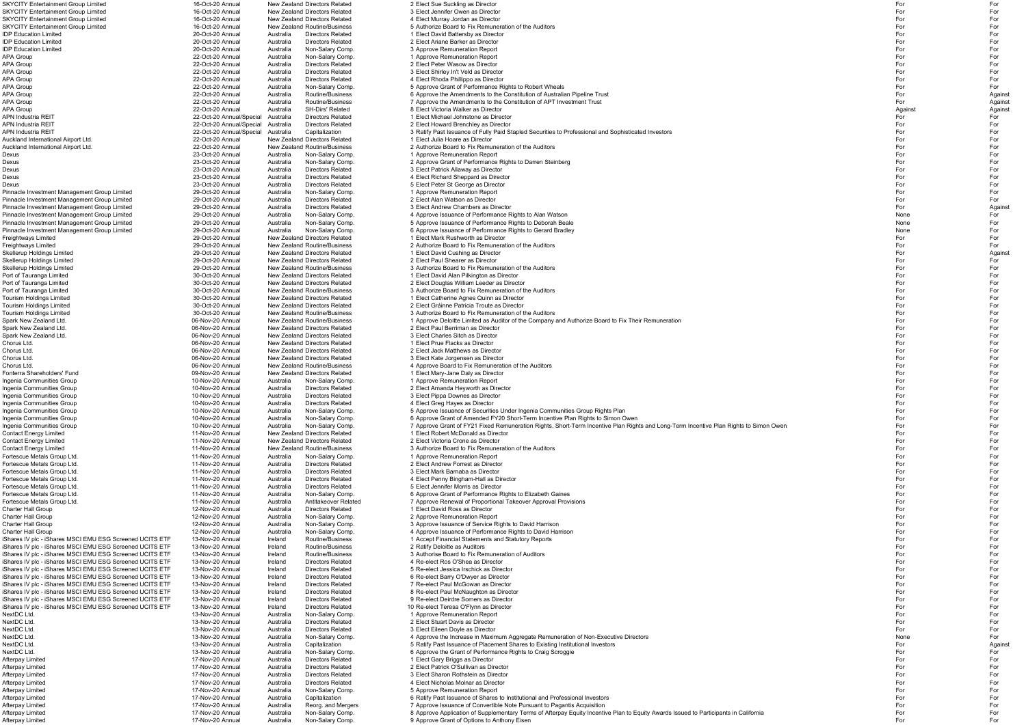IDP Education Limited 20-Oct-20 Annual Australia Directors Related 2 Elect Ariane Barker as DirectorPort of Tauranga Limited **30-Oct-20** Annual New Zealand Directors Related 2 Elect Douglas William Leeder as Director Chorus Ltd. 06-Nov-20 Annual New Zealand Directors Related 1 Elect Prue Flacks as DirectorChorus Ltd. 2008 Chorus Ltd. 06-Nov-20 Annual New Zealand Directors Related 2 Elect Jack Matthews as Director iShares IV plc - iShares MSCI EMU ESG Screened UCITS ETF 13-Nov-20 Annual Ireland iShares IV plc - iShares MSCI EMU ESG Screened UCITS ETF 13-Nov-20 Annual Ireland iShares IV plc - iShares MSCI EMU ESG Screened UCITS ETF 13-Nov-20 Annual Ireland Directors Related 10 Re-elect Teresa O'Flynn as Director NextDC Ltd. 13-Nov-20 Annual Australia Directors Related 2 Elect Stuart Davis as Director

Afterpay Limited 17-Nov-20 Annual Australia Non-Salary Comp. 9 Approve Grant of Options to Anthony Eisen For For

SKYCITY Entertainment Group Limited 16-Oct-20 Annual New Zealand Directors Related 2 Elect Sue Suckling as Director For For SKYCITY Entertainment Group Limited 16-Oct-20 Annual New Zealand Directors Related 3 Elect Jennifer Owen as Director<br>16-Oct-20 Annual New Zealand Directors Related 4 Elect Murray Jordan as Director For For For For For For SKYCITY Entertainment Group Limited 16-Oct-20 Annual New Zealand Directors Related 4 Elect Murray Jordan as Director For For SKYCITY Entertainment Group Limited 16-Oct-20 Annual New Zealand Routine/Business 5 Authorize Board to Fix Remuneration of the Auditors For For IDP Education Limited 20-Oct-20 Annual Australia Directors Related 1 Elect David Battersby as Director For For r and the contract of the contract of the contract of the contract of the contract of the contract of the contract of the contract of the contract of the contract of the contract of the contract of the contract of the cont IDP Education Limited 20-Oct-20 Annual Australia Non-Salary Comp. 3 Approve Remuneration Report For For APA Group 22-Oct-20 Annual Australia Non-Salary Comp. 1 Approve Remuneration Report For For For For For For For APA Group 22-Oct-20 Annual Australia Directors Related 2 Elect Peter Wasow as Director For For For For For For APA Group 22-Oct-20 Annual Australia Directors Related 3 Elect Shirley In't Veld as Director For For For For For For APA Group 22-Oct-20 Annual Australia Directors Related 4 Elect Rhoda Phillippo as Director For For For For For For APA Group 22-Oct-20 Annual Australia Non-Salary Comp. 5 Approve Grant of Performance Rights to Robert Wheals Trust<br>22-Oct-20 Annual Australia Routine/Business 6 Approve the Amendments to the Constitution of Australian Pipe APA Group 22-Oct-20 Annual Australia Routine/Business 6 Approve the Amendments to the Constitution of Australian Pipeline Trust Formula 22-Oct-20 Annual Australia Routine/Business 6 Approve the Amendments to the Constituti APA Group 22-Oct-20 Annual Australia Routine/Business 7 Approve the Amendments to the Constitution of APT Investment Trust 1999-01-20 Annual Australia SH-Dirs' Related 8 Flect Victoria Walker as Director APA Group 22-Oct-20 Annual Australia SH-Dirs' Related 8 Elect Victoria Walker as Director Against Against Against Against Against Against Against Against Against Against Against Against Against Against Against Against Agai APN Industria REIT 22-Oct-20 Annual/Special Australia Directors Related 1 Elect Michael Johnstone as Director For For APN Industria REIT 22-Oct-20 Annual/Special Australia Directors Related 2 Elect Howard Brenchley as Director For For APN Industria REIT<br>
22-Oct-20 Annual/Special Australia Capitalization 3 Ratify Past Issuance of Fully Paid Stapled Securities to Professional and Sophisticated Investors<br>
For Auckland International Airport Ltd. Auckland International Airport Ltd. 22-Oct-20 Annual New Zealand Directors Related 1 Elect Julia Hoare as Director For For Auckland International Airport Ltd. 22 Oct-20 Annual Mew Zealand Routine/Business 2 Authorize Board to Fix Remuneration of the Auditors For Formula Counterport For Formula 23-Oct-20 Annual Australia Non-Salary Comp. 1 Appr Dexus 23-Oct-20 Annual Australia Non-Salary Comp. 1 Approve Remuneration Report For For For For For For For For Dexus 23-Oct-20 Annual Australia Non-Salary Comp. 2 Approve Grant of Performance Rights to Darren Steinberg For For Dexus 23-Oct-20 Annual Australia Directors Related 3 Elect Patrick Allaway as Director For For Dexus 23-Oct-20 Annual Australia Directors Related 4 Elect Richard Sheppard as Director For For Dexus 23-Oct-20 Annual Australia Directors Related 5 Elect Peter St George as Director For For For For For For Pinnacle Investment Management Group Limited 29-Oct-20 Annual Australia Non-Salary Comp. 1 Approve Remuneration Report For For Pinnacle Investment Management Group Limited 29-Oct-20 Annual Australia Directors Related 2 Elect Alan Watson as Director<br>29-Oct-20 Annual 29-Oct-20 Annual Australia Directors Related 3 Elect Andrew Chambers as Director Fo Pinnacle Investment Management Group Limited 29-Oct-20 Annual Australia Directors Related 3 Elect Andrew Chambers as Director and the stated and the state of the state of the state of the Against Against Against Against Ag Pinnacle Investment Management Group Limited 29-Oct-20 Annual Australia Non-Salary Comp. 4 Approve Issuance of Performance Rights to Alan Watson Non-Number of Performance Rights to Alan Matson None Formance Rights to Debor Pinnacle Investment Management Group Limited 29-Oct-20 Annual Australia Non-Salary Comp. 5 Approve Issuance of Performance Rights to Deborah Beale<br>Pinnacle Investment Management Group Limited 29-Oct-20 Annual Australia Non 29-Oct-20 Annual Australia Non-Salary Comp. 6 Approve Issuance of Performance Rights to Gerard Bradley None Formance Rights to Gerard Bradley Freightways Limited 29-Oct-20 Annual New Zealand Directors Related 1 Elect Mark Rushworth as Director For For Freightways Limited 29-Oct-20 Annual New Zealand Routine/Business 2 Authorize Board to Fix Remuneration of the Auditors For For Skellerup Holdings Limited 29-Oct-20 Annual New Zealand Directors Related 1 Elect David Cushing as Director For Against Procedure and Director Against Against Against Against Against Against Against Against Against Against Skellerup Holdings Limited 29-Oct-20 Annual New Zealand Directors Related 2 Elect Paul Shearer as Director For For Skellerup Holdings Limited 29-Oct-20 Annual New Zealand Routine/Business 3 Authorize Board to Fix Remuneration of the Auditors and the Stellerup Holdings Limited 29-Oct-20 Annual New Zealand Directors Related 1 Elect David Port of Tauranga Limited Subsect 20 Annual New Zealand Directors Related 1 Elect David Alan Pilkington as Director<br>30-Oct-20 Annual New Zealand Directors Related 2 Elect Douglas William Leeder as Director For For For For F Port of Tauranga Limited 30-Oct-20 Annual New Zealand Routine/Business 3 Authorize Board to Fix Remuneration of the Auditors For For Tourism Holdings Limited 30-Oct-20 Annual New Zealand Directors Related 1 Elect Catherine Agnes Quinn as Director For For Tourism Holdings Limited 30-Oct-20 Annual New Zealand Directors Related 2 Elect Gráinne Patricia Troute as Director For For Tourism Holdings Limited 30-Oct-20 Annual New Zealand Routine/Business 3 Authorize Board to Fix Remuneration of the Auditors For For Spark New Zealand Ltd. 1996 Mov-20 Annual New Zealand Routine/Business 1 Approve Deloitte Limited as Auditor of the Company and Authorize Board to Fix Their Remuneration For The The Spark New Zealand Director For For For F Spark New Zealand Ltd. 06-Nov-20 Annual New Zealand Directors Related 2 Elect Paul Berriman as Director For For Spark New Zealand Ltd. 06-Nov-20 Annual New Zealand Directors Related 3 Elect Charles Sitch as Director For For r and the state of the state of the state of the state of the state of the state of the state of the state of the state of the state of the state of the state of the state of the state of the state of the state of the stat r and the state of the state of the state of the state of the state of the state of the state of the state of the state of the state of the state of the state of the state of the state of the state of the state of the stat Chorus Ltd. 06-Nov-20 Annual New Zealand Directors Related 3 Elect Kate Jorgensen as Director For For Chorus Ltd. 06-Nov-20 Annual New Zealand Routine/Business 4 Approve Board to Fix Remuneration of the Auditors For For Fonterra Shareholders' Fund 09-Nov-20 Annual New Zealand Directors Related 1 Elect Mary-Jane Daly as Director For For Ingenia Communities Group 10-Nov-20 Annual Australia Non-Salary Comp. 1 Approve Remuneration Report For For Ingenia Communities Group 10-Nov-20 Annual Australia Directors Related 2 Elect Amanda Heyworth as Director For For Ingenia Communities Group 10-Nov-20 Annual Australia Directors Related 3 Elect Pippa Downes as Director and the state of the Communities Group 10-Nov-20 Annual Australia Directors Related 3 Elect Pippa Downes as Director Ingenia Communities Group 10-Nov-20 Annual Australia Directors Related 4 Elect Greg Hayes as Director For For Ingenia Communities Group 10-Nov-20 Annual Australia Non-Salary Comp. 5 Approve Issuance of Securities Under Ingenia Communities Group Rights Plan For For Ingenia Communities Group 10-Nov-20 Annual Australia Non-Salary Comp. 6 Approve Grant of Amended FY20 Short-Term Incentive Plan Rights to Simon Owen Ingenia Communities Group 10-Nov-20 Annual Australia Non-Salary Comp. 7 Approve Grant of FY21 Fixed Remuneration Rights, Short-Term Incentive Plan Rights and Long-Term Incentive Plan Rights to Simon Owen For For For For Contact Energy Limited 11-Nov-20 Annual New Zealand Directors Related 1 Elect Robert McDonald as Director For For Contact Energy Limited 1986 and the Music of the Music of the Music Proposition of the Music Proposition of the Music Proposition of the Music Proposition of the Music Proposition of the For For For For For For For For For Contact Energy Limited 11-Nov-20 Annual New Zealand Routine/Business 3 Authorize Board to Fix Remuneration of the Auditors For For Fortescue Metals Group Ltd. 11-Nov-20 Annual Australia Non-Salary Comp. 1 Approve Remuneration Report For the Salary Comp. The Salary Comp. 1 Approve Remuneration Report For the Salary Comp. The Forest For For For For For Fortescue Metals Group Ltd. 11-Nov-20 Annual Australia Directors Related 2 Elect Andrew Forrest as Director For For Fortescue Metals Group Ltd. 11-Nov-20 Annual Australia Directors Related 3 Elect Mark Barnaba as Director For For Fortescue Metals Group Ltd. 11-Nov-20 Annual Australia Directors Related 4 Elect Penny Bingham-Hall as Director For For Fortescue Metals Group Ltd. 11-Nov-20 Annual Australia Directors Related 5 Elect Jennifer Morris as Director For For Fortescue Metals Group Ltd. 11-Nov-20 Annual Australia Non-Salary Comp. 6 Approve Grant of Performance Rights to Elizabeth Gaines For For Fortescue Metals Group Ltd. 11-Nov-20 Annual Australia Antitakeover Related 7 Approve Renewal of Proportional Takeover Approval Provisions For For Charter Hall Group 12-Nov-20 Annual Australia Directors Related 1 Elect David Ross as Director For For Charter Hall Group 12-Nov-20 Annual Australia Non-Salary Comp. 2 Approve Remuneration Report For For Charter Hall Group 12-Nov-20 Annual Australia Non-Salary Comp. 3 Approve Issuance of Service Rights to David Harrison 12-Nov-20 Annual Australia Non-Salary Comp. 3 Approve Issuance of Service Rights to David Harrison For F 4 Approve Issuance of Performance Rights to David Harrison<br>1 Accept Financial Statements and Statutory Reports iShares IV plc - iShares MSCI EMU ESG Screened UCITS ETF 13-Nov-20 Annual Ireland Routine/Business 1 Accept Financial Statements and Statutory Reports For For For For For For For For For iShares IV plc - iShares MSCI EMU ESG Screened UCITS ETF 13-Nov-20 Annual Ireland Routine/Business 2 Ratify Deloitte as Auditors For For iShares IV plc - iShares MSCI EMU ESG Screened UCITS ETF 13-Nov-20 Annual Ireland Routine/Business 3 Authorise Board to Fix Remuneration of Auditors For For iShares IV plc - iShares MSCI EMU ESG Screened UCITS ETF 13-Nov-20 Annual Ireland Directors Related 4 Re-elect Ros O'Shea as Director For For iShares IV plc - iShares MSCI EMU ESG Screened UCITS ETF 13-Nov-20 Annual Ireland Directors Related 6 Re-elect Barry O'Dwyer as Director For Formula and Fore The Screened UCITS ETF 13-Nov-20 Annual Ireland Directors Relate iShares IV plc - iShares MSCI EMU ESG Screened UCITS ETF 13-Nov-20 Annual Ireland Directors Related 7 Re-elect Paul McGowan as Director<br>iShares IV plc - iShares MSCI EMU ESG Screened UCITS ETF 13-Nov-20 Annual Ireland Dire iShares IV plc - iShares MSCI EMU ESG Screened UCITS ETF 13-Nov-20 Annual Ireland Directors Related 9 Re-elect Deirdre Somers as Director For Formula and The Some The Some Screened UCITS ETF 13-Nov-20 Annual Ireland Direct NextDC Ltd. 13-Nov-20 Annual Australia Non-Salary Comp. 1 Approve Remuneration Report For For r and the state of the state of the state of the state of the state of the state of the state of the state of the state of the state of the state of the state of the state of the state of the state of the state of the stat NextDC Ltd. 13-Nov-20 Annual Australia Directors Related 3 Elect Eileen Doyle as Director For For NextDC Ltd. **13-Nov-20 Annual Australia Non-Salary Comp.** 4 Approve the Increase in Maximum Aggregate Remuneration of Non-Executive Directors Non-NextDC Ltd. **13-Nov-20 Annual** Australia Capitalization 5 Ratify Past Issuance of Placement Shares to Existing Institutional Investors For Against Against For Against For Against Against Against Against Against Against Aga NextDC Ltd. **13-Nov-20 Annual Australia Non-Salary Comp.** 6 Approve the Grant of Performance Rights to Craig Scroggie **Formula Computers and Computers Computers** For Formula Australia Non-Salary Comp. 6 Approve the Grant o Afterpay Limited 17-Nov-20 Annual Australia Directors Related 1 Elect Gary Briggs as Director For For Afterpay Limited 17-Nov-20 Annual Australia Directors Related 2 Elect Patrick O'Sullivan as Director For For Afterpay Limited 17-Nov-20 Annual Australia Directors Related 3 Elect Sharon Rothstein as Director For For Afterpay Limited 17-Nov-20 Annual Australia Directors Related 4 Elect Nicholas Molnar as Director For For Afterpay Limited 17-Nov-20 Annual Australia Non-Salary Comp. 5 Approve Remuneration Report For For Afterpay Limited 17-Nov-20 Annual Australia Capitalization 6 Ratify Past Issuance of Shares to Institutional and Professional Investors Formula and Transformation of Shares Formula 17-Nov-20 Annual Australia Reorg. and Mer Afterpay Limited 2008 Manual 17-Nov-20 Annual Australia Reorg. and Mergers 7 Approve Issuance of Convertible Note Pursuant to Pagantis Acquisition Acquisition and a strategies of Convertible Note Pursuant to Pagantis Acqui Australia Non-Salary Comp. 6 Approve Application of Supplementary Terms of Afterpay Equity Incentive Plan to Equity Awards Issued to Participants in California

|        | For<br>For         |
|--------|--------------------|
|        | For                |
|        | For<br>For         |
|        | For                |
|        | For<br>For         |
|        | For                |
|        | For<br>For         |
|        | Against            |
| nst    | Against<br>Against |
|        | For                |
|        | For<br>For         |
|        | For                |
|        | For<br>For         |
|        | For                |
|        | For<br>For         |
|        | For                |
|        | For<br>For         |
|        | Against            |
| e<br>e | For<br>For         |
| e      | For                |
|        | For<br>For         |
|        | Against<br>For     |
|        | For                |
|        | For<br>For         |
|        | For                |
|        | For<br>For         |
|        | For                |
|        | For<br>For         |
|        | For                |
|        | For<br>For         |
|        | For                |
|        | For<br>For         |
|        | For                |
|        | For<br>For         |
|        | For                |
|        | For<br>For         |
|        | For                |
|        | For<br>For         |
|        | For                |
|        | For<br>For         |
|        | For<br>For         |
|        | For                |
|        | For<br>For         |
|        | For                |
|        | For<br>For         |
|        | For                |
|        | For<br>For         |
|        | For                |
|        | For<br>For         |
|        | For                |
|        | For<br>For         |
|        | For<br>For         |
|        | For                |
|        | For<br>For         |
| e      | For                |
|        | Against<br>For     |
|        | For                |
|        | For<br>For         |
|        | For                |
|        | For<br>For         |
|        | For                |
|        | For<br>For         |
|        |                    |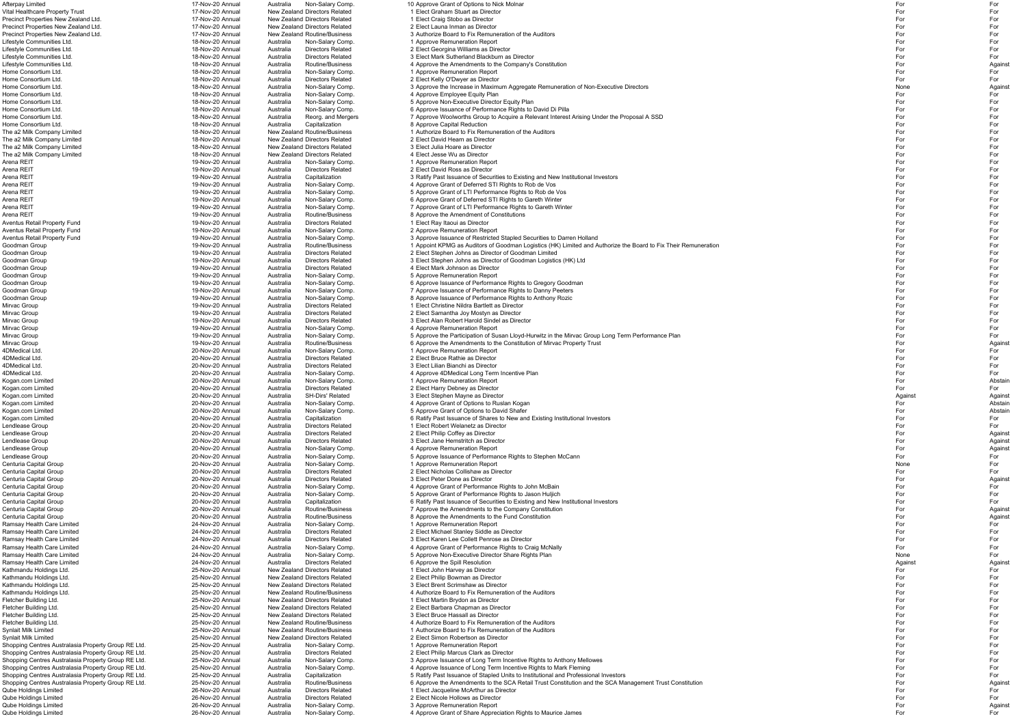Arena REIT **19-Nov-20 Annual** Australia Directors Related 2 Elect David Ross as Director Arena REIT 19-Nov-20 Annual Australia Routine/Business 3 Approve the Amendment of Constitutions<br>Aventus Retail Property Fund 19-Nov-20 Annual Australia Directors Related 19-Nov-20 Annual Australia Directors Related 1 Elect Mirvac Group 19-Nov-20 Annual Australia Directors Related 2 Elect Samantha Joy Mostyn as Director For For 4DMedical Ltd. 20-Nov-20 Annual Australia Directors Related 2 Elect Bruce Rathie as Director4DMedical Ltd. 20-Nov-20 Annual Australia Directors Related 3 Elect Lilian Bianchi as DirectorKogan.com Limited 20-Nov-20 Annual Australia Non-Salary Comp. 4 Approve Grant of Options to Ruslan Kogan For A Ramsay Health Care Limited **24-Nov-20 Annual** Australia Directors Related 3 Elect Karen Lee Collett Penrose as Director Shopping Centres Australasia Property Group RE Ltd. 25-Nov-20 Annual Australia Non-Salary Comp. 1 Approve Remuneration Report For For Shopping Centres Australasia Property Group RE Ltd. 25-Nov-20 Annual Australia Qube Holdings Limited 26-Nov-20 Annual Australia Directors Related 1 Elect Jacqueline McArthur as Director<br>26-Nov-20 Annual Australia Directors Related 2 Elect Nicole Hollows as Director Qube Holdings Limited 26-Nov-20 Annual Australia Non-Salary Comp. 3 Approve Remuneration Report For Salary Comp. Against Against Against Against Against Against Against Against Against Against Against Against Against Again

Afterpay Limited 17-Nov-20 Annual Australia Non-Salary Comp. 10 Approve Grant of Options to Nick Molnar For For Vital Healthcare Property Trust 17-Nov-20 Annual New Zealand Directors Related 1 Elect Graham Stuart as Director For For Precinct Properties New Zealand Ltd. 17-Nov-20 Annual New Zealand Directors Related 1 Elect Craig Stobo as Director For For Precinct Properties New Zealand Ltd. 17-Nov-20 Annual New Zealand Directors Related 2 Elect Launa Inman as Director For For Precinct Properties New Zealand Ltd. 17-Nov-20 Annual New Zealand Routine/Business 3 Authorize Board to Fix Remuneration of the Auditors 17-Nov-20 Annual New Zealand Routine/Business 3 Authorize Board to Fix Remuneration o Lifestyle Communities Ltd. 18-Nov-20 Annual Australia Non-Salary Comp. 1 Approve Remuneration Report For For Lifestyle Communities Ltd. 18-Nov-20 Annual Australia Directors Related 2 Elect Georgina Williams as Director For For Lifestyle Communities Ltd. 18-Nov-20 Annual Australia Directors Related 3 Elect Mark Sutherland Blackburn as Director For Form For Form and Theoretor Form and Theoretor Form Form and Theoretor Form Form and Theoretor Form Lifestyle Communities Ltd. 18-Nov-20 Annual Australia Routine/Business 4 Approve the Amendments to the Company's Constitution<br>18-Nov-20 Annual Australia Non-Salary Comp. 19-Dorove Remuneration Report Home Consortium Ltd. 18-Nov-20 Annual Australia Non-Salary Comp. 1 Approve Remuneration Report For For Home Consortium Ltd. 18-Nov-20 Annual Australia Directors Related 2 Elect Kelly O'Dwyer as Director For For Home Consortium Ltd. 18-Nov-20 Annual Australia Non-Salary Comp. 3 Approve the Increase in Maximum Aggregate Remuneration of Non-Executive Directors 18-Nov-20 Annual Australia Non-Salary Comp. 4 Approve Employee Equity Pla Home Consortium Ltd. 18-Nov-20 Annual Australia Non-Salary Comp. 4 Approve Employee Equity Plan For For Home Consortium Ltd. 18-Nov-20 Annual Australia Non-Salary Comp. 5 Approve Non-Executive Director Equity Plan<br>18-Nov-20 Annual Australia Non-Salary Comp. 6 Approve Issuance of Performance Rights to I 18-Nov-20 Annual Australia Non-Salary Comp. 6 Approve Issuance of Performance Rights to David Di Pilla Home Consortium Ltd. 18-Nov-20 Annual Australia Reorg. and Mergers 7 Approve Woolworths Group to Acquire a Relevant Interest Arising Under the Proposal A SSD Home Consortium Ltd. 18-Nov-20 Annual Australia Capitalization 8 Approve Capital Reduction For For The a2 Milk Company Limited 18-Nov-20 Annual New Zealand Routine/Business 1 Authorize Board to Fix Remuneration of the Auditors For For The a2 Milk Company Limited 18-Nov-20 Annual New Zealand Directors Related 2 Elect David Hearn as Director For For The a2 Milk Company Limited 18-Nov-20 Annual New Zealand Directors Related 3 Elect Julia Hoare as Director For For The a2 Milk Company Limited 18-Nov-20 Annual New Zealand Directors Related 4 Elect Jesse Wu as Director For For Arena REIT 19-Nov-20 Annual Australia Non-Salary Comp. 1 Approve Remuneration Report For For r and the state of the state of the state of the state of the state of the state of the state of the state of the state of the state of the state of the state of the state of the state of the state of the state of the stat Arena REIT **19-Nov-20 Annual** Australia Capitalization 3 Ratify Past Issuance of Securities to Existing and New Institutional Investors **Australia** Australia Non-Salary Comp. 3 Ratify Past Issuance of Securities to Existin Arena REIT 19-Nov-20 Annual Australia Non-Salary Comp. 4 Approve Grant of Deferred STI Rights to Rob de Vos Arena REIT **19-Nov-20 Annual Australia Non-Salary Comp.** 5 Approve Grant of LTI Performance Rights to Rob de Vos Arena REIT 19-Nov-20 Annual Australia Non-Salary Comp. 6 Approve Grant of Deferred STI Rights to Gareth Winter<br>19-Nov-20 Annual Australia Non-Salary Comp. 7 Approve Grant of LTI Performance Rights to Gareth Winter Australi Arena REIT **19-Nov-20 Annual** Australia Non-Salary Comp. 7 Approve Grant of LTI Performance Rights to Gareth Winter For Formance Rights to Gareth Winter Aventus Retail Property Fund 19-Nov-20 Annual Australia Directors Related 1 Elect Ray Itaoui as Director For and the Subsection of the Subsection of the Subsection of the Subsection of the Subsection of the Subsection of t Aventus Retail Property Fund 19-Nov-20 Annual Australia Non-Salary Comp. 2 Approve Remuneration Report For For Aventus Retail Property Fund Transform 19-Nov-20 Annual Australia Non-Salary Comp. 3 Approve Issuance of Restricted Stapled Securities to Darren Holland 19-Nov-20 Annual Australia Non-Salary Comp. 3 Approve Issuance of Res Goodman Group 19-Nov-20 Annual Australia Routine/Business 1 Appoint KPMG as Auditors of Goodman Logistics (HK) Limited and Authorize the Board to Fix Their Remuneration Goodman Group 19-Nov-20 Annual Australia Directors Related 2 Elect Stephen Johns as Director of Goodman Limited Goodman Group 19-Nov-20 Annual Australia Directors Related 3 Elect Stephen Johns as Director of Goodman Logistics (HK) Ltd For Form The Form Form 19-Nov-20 Annual Australia Directors Related 3 Elect Stephen Johns as Direct Goodman Group 19-Nov-20 Annual Australia Directors Related 4 Elect Mark Johnson as Director For For For For For For Goodman Group 19-Nov-20 Annual Australia Non-Salary Comp. 5 Approve Remuneration Report For For For For For For Goodman Group 19-Nov-20 Annual Australia Non-Salary Comp. 6 Approve Issuance of Performance Rights to Gregory Goodman Goodman Group **19-Nov-20 Annual** Australia Non-Salary Comp. 7 Approve Issuance of Performance Rights to Danny Peeters For Formance Rights to Danny Peeters Goodman Group 19-Nov-20 Annual Australia Non-Salary Comp. 8 Approve Issuance of Performance Rights to Anthony Rozic Mirvac Group 19-Nov-20 Annual Australia Directors Related 1 Elect Christine Nildra Bartlett as Director For For Mirvac Group 19-Nov-20 Annual Australia Directors Related 3 Elect Alan Robert Harold Sindel as Director For For Mirvac Group 19-Nov-20 Annual Australia Non-Salary Comp. 4 Approve Remuneration Report For For For For For For Mirvac Group 19-Nov-20 Annual Australia Non-Salary Comp. 5 Approve the Participation of Susan Lloyd-Hurwitz in the Mirvac Group Long Term Performance Plan Mirvac Group Long Term Performance Plan Australia Australia Routine Mirvac Group 19-Nov-20 Annual Australia Routine/Business 6 Approve the Amendments to the Constitution of Mirvac Property Trust 19-Nov-20 Annual Australia Non-Salary Comp. 6 Approve the Amendments to the Constitution of Mir 4DMedical Ltd. 20-Nov-20 Annual Australia Non-Salary Comp. 1 Approve Remuneration Report For For r and the state of the state of the state of the state of the state of the state of the state of the state of the state of the state of the state of the state of the state of the state of the state of the state of the stat r and the contract of the contract of the contract of the contract of the contract of the contract of the contract of the contract of the contract of the contract of the contract of the contract of the contract of the cont 4DMedical Ltd. 20-Nov-20 Annual Australia Non-Salary Comp. 4 Approve 4DMedical Long Term Incentive Plan 4 Approve 4DMedical Long Term Incentive Plan 20-Nov-20 Annual Australia Non-Salary Comp. 4 Approve Remuneration Report Kogan.com Limited 20-Nov-20 Annual Australia Non-Salary Comp. 1 Approve Remuneration Report Prove Remuneration Report For and Abstain Abstain Abstain Abstain Kogan.com Limited 20-Nov-20 Annual Australia Directors Related 2 Elect Harry Debney as Director For For Kogan.com Limited 20-Nov-20 Annual Australia SH-Dirs' Related 3 Elect Stephen Mayne as Director Against Against Against Against Against Against Against Against Against Against Against Against Against Against Against Agains Kogan.com Limited 20-Nov-20 Annual Australia Non-Salary Comp. 5 Approve Grant of Options to David Shafer For Samus Rostain Abstain Abstain Abstain Kogan.com Limited **1.2. Solution and Music 20-Nov-20 Annual** Australia Capitalization 6 Ratify Past Issuance of Shares to New and Existing Institutional Investors Past Institutional Investors Policy 20 Nov-20 Annual Austra Lendlease Group 20-Nov-20 Annual Australia Directors Related 1 Elect Robert Welanetz as Director For For Lendlease Group 20-Nov-20 Annual Australia Directors Related 2 Elect Philip Coffey as Director Against 20-Nov-20 Annual Australia Directors Related 2 Elect Philip Coffey as Director Lendlease Group 20-Nov-20 Annual Australia Directors Related 3 Elect Jane Hemstritch as Director Against 20-Nov-20 Annual Australia Directors Related 3 Elect Jane Hemstritch as Director Lendlease Group 20-Nov-20 Annual Australia Non-Salary Comp. 4 Approve Remuneration Report Procedure and Against Against Against Against Against Against Against Against Against Against Against Against Against Against Agains Lendlease Group 20 Mov-20 Annual Australia Non-Salary Comp. 5 Approve Issuance of Performance Rights to Stephen McCann Centuria Capital Group 20-Nov-20 Annual Australia Non-Salary Comp. 1 Approve Remuneration Report Prove Prove For Centuria Capital Group 20-Nov-20 Annual Australia Directors Related 2 Elect Nicholas Collishaw as Director For For Centuria Capital Group 20-Nov-20 Annual Australia Directors Related 3 Elect Peter Done as Director Against 20-Nov-20 Annual Australia Directors Related 3 Elect Peter Done as Director Centuria Capital Group 20-Nov-20 Annual Australia Non-Salary Comp. 4 Approve Grant of Performance Rights to John McBain Centuria Capital Group 20-100 20-Nov-20 Annual 20-Nov-20 Annual Australia Non-Salary Comp.<br>20-Nov-20 Annual Australia Capitalization 6 Ratify Past Issuance of Securities to Existing and New 6 Ratify Past Issuance of Securities to Existing and New Institutional Investors Centuria Capital Group 20 20 Nov-20 Annual Australia Routine/Business 7 Approve the Amendments to the Company Constitution Centuria Capital Group 20 20-Nov-20 Annual Australia Routine/Business 3 Approve the Amendments to the Fund Constitution<br>24-Nov-20 Annual Australia Non-Salary Comp. 21 Approve Remuneration Report Ramsay Health Care Limited 24-Nov-20 Annual Australia Non-Salary Comp. 1 Approve Remuneration Report For For Ramsay Health Care Limited 24-Nov-20 Annual Australia Directors Related 2 Elect Michael Stanley Siddle as Director For For Ramsay Health Care Limited **24-Nov-20 Annual 24-Nov-20 Annual** Australia Non-Salary Comp. **24-Approve Grant of Performance Rights to Craig McNally**<br>Ramsay Health Care Limited **1996 Care For The Care Company Australia** Non-Ramsay Health Care Limited **24-Nov-20 Annual Australia** Non-Salary Comp. 5 Approve Non-Executive Director Share Rights Plan Non-Salary Comp.<br>24-Nov-20 Annual Australia Directors Related 6 Approve the Spill Resolution Ramsay Health Care Limited 24-Nov-20 Annual Australia Directors Related 6 Approve the Spill Resolution Against Against Against Against Against Against Against Against Against Against Against Against Against Against Against Kathmandu Holdings Ltd. 25-Nov-20 Annual New Zealand Directors Related 1 Elect John Harvey as Director For For Kathmandu Holdings Ltd. 25-Nov-20 Annual New Zealand Directors Related 2 Elect Philip Bowman as Director For For Kathmandu Holdings Ltd. 25-Nov-20 Annual New Zealand Directors Related 3 Elect Brent Scrimshaw as Director For For Kathmandu Holdings Ltd. 25-Nov-20 Annual New Zealand Routine/Business and Authorize Board to Fix Remuneration of the Auditors For Authorize Board to Fix Remuneration of the Auditors For Form of the Auditors Auditors Relate Fletcher Building Ltd. 25-Nov-20 Annual New Zealand Directors Related 1 Elect Martin Brydon as Director For For Fletcher Building Ltd. 25-Nov-20 Annual New Zealand Directors Related 2 Elect Barbara Chapman as Director For For Fletcher Building Ltd. 25-Nov-20 Annual New Zealand Directors Related 3 Elect Bruce Hassall as Director For For Fletcher Building Ltd. 25-Nov-20 Annual New Zealand Routine/Business 25-Nov-20 Annual New Zealand Routine/Business 25-Nov-20 Annual New Zealand Routine/Business 4 Authorize Board to Fix Remuneration of the Auditors For For Synlait Milk Limited 25-Nov-20 Annual New Zealand Routine/Business 25-Nov-20 Annual New Zealand Directors Related 25 Elect Simon Robertson as Director<br>The Team New Zealand Directors Related 25 Elect Simon Robertson as Dire Synlait Milk Limited 25-Nov-20 Annual New Zealand Directors Related 2 Elect Simon Robertson as Director For For Shopping Centres Australasia Property Group RE Ltd. 25-Nov-20 Annual Australia Non-Salary Comp. 3 Approve Issuance of Long Term Incentive Rights to Anthony Mellowes and the State of Long Term Incentive Rights to Anthony Me Shopping Centres Australasia Property Group RE Ltd. 25-Nov-20 Annual Australia Non-Salary Comp. 4 Approve Issuance of Long Term Incentive Rights to Mark Fleming Shopping Centres Australasia Property Group RE Ltd. 25-Nov-20 Annual Australia Capitalization 5 Ratify Past Issuance of Stapled Units to Institutional and Professional Investors Chopping Centres Australisia Property Group Shopping Centres Australasia Property Group RE Ltd. 25-Nov-20 Annual Australia Routine/Business 6 Approve the Amendments to the SCA Retail Trust Constitution and the SCA Management Trust Constitution 26-Nov-20 Annual Austr Qube Holdings Limited 26-Nov-20 Annual Australia Directors Related 2 Elect Nicole Hollows as Director For For

Qube Holdings Limited 26-Nov-20 Annual Australia Non-Salary Comp. 4 Approve Grant of Share Appreciation Rights to Maurice James 26-Nov-20 Annual Australia Non-Salary Comp. 4 Approve Grant of Share Appreciation Rights to Ma

| =or                                                                              | For            |
|----------------------------------------------------------------------------------|----------------|
| For                                                                              | For            |
| For                                                                              | For            |
|                                                                                  |                |
| For                                                                              | For            |
| For                                                                              | For            |
| For                                                                              | For            |
| For                                                                              | For            |
| For                                                                              | For            |
| For                                                                              | Against        |
|                                                                                  |                |
| For                                                                              | For            |
| For                                                                              | For            |
| None                                                                             | Against        |
| For                                                                              | For            |
| For                                                                              | For            |
|                                                                                  | For            |
| For                                                                              |                |
| For                                                                              | For            |
| For                                                                              | For            |
| For                                                                              | For            |
| For                                                                              | For            |
|                                                                                  |                |
| For                                                                              | For            |
| For                                                                              | For            |
| For                                                                              | For            |
| For                                                                              | For            |
| For                                                                              | For            |
|                                                                                  |                |
| For                                                                              | For            |
| For                                                                              | For            |
| For                                                                              | For            |
| For                                                                              | For            |
| For                                                                              | For            |
|                                                                                  |                |
| For                                                                              | For            |
| For                                                                              | For            |
| For                                                                              | For            |
| =or                                                                              | For            |
| For                                                                              | For            |
|                                                                                  |                |
| For                                                                              | For            |
| For                                                                              | For            |
| For                                                                              | For            |
| For                                                                              | For            |
| For                                                                              | For            |
|                                                                                  | For            |
| For                                                                              |                |
| For                                                                              | For            |
| For                                                                              | For            |
| For                                                                              | For            |
| For                                                                              | For            |
| For                                                                              | For            |
|                                                                                  |                |
| For                                                                              | Against        |
| For                                                                              | For            |
|                                                                                  |                |
|                                                                                  | For            |
|                                                                                  |                |
|                                                                                  | For            |
|                                                                                  | For            |
|                                                                                  | Abstain        |
| For<br>For<br>For<br>=or<br>=or                                                  | For            |
|                                                                                  |                |
| Against                                                                          | Against        |
| For                                                                              | Abstain        |
| For                                                                              | Abstain        |
| For                                                                              | For            |
| For                                                                              | For            |
|                                                                                  |                |
| =or                                                                              | Against        |
| For                                                                              | Against        |
| For                                                                              | Against        |
| For                                                                              | For            |
|                                                                                  |                |
| None                                                                             | For            |
| For                                                                              | For            |
| For                                                                              | Against        |
| For                                                                              | For            |
| $=$ or                                                                           | For            |
|                                                                                  |                |
| For                                                                              | For            |
|                                                                                  | Against        |
|                                                                                  | Against        |
|                                                                                  | For            |
|                                                                                  | For            |
|                                                                                  |                |
|                                                                                  | For            |
| For<br>For<br>For<br>For<br>For<br>For                                           | For            |
| None                                                                             | For            |
| Against                                                                          | Against        |
| For                                                                              | For            |
| For                                                                              |                |
|                                                                                  | For            |
| For                                                                              | For            |
| For                                                                              | For            |
| For                                                                              | For            |
| For                                                                              | For            |
| For                                                                              | For            |
|                                                                                  |                |
| For                                                                              | For            |
|                                                                                  | For            |
|                                                                                  | For            |
|                                                                                  | For            |
|                                                                                  | For            |
|                                                                                  |                |
|                                                                                  | For            |
|                                                                                  | For            |
|                                                                                  | For            |
|                                                                                  | Against        |
|                                                                                  |                |
|                                                                                  | For            |
|                                                                                  | For            |
| For<br>For<br>For<br>For<br>For<br>For<br>For<br>For<br>For<br>For<br>For<br>For | Against<br>For |